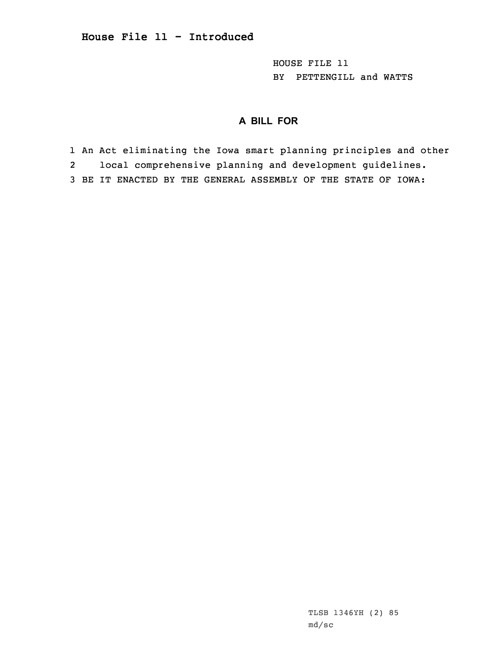HOUSE FILE 11 BY PETTENGILL and WATTS

## **A BILL FOR**

1 An Act eliminating the Iowa smart planning principles and other 2 local comprehensive planning and development guidelines. 3 BE IT ENACTED BY THE GENERAL ASSEMBLY OF THE STATE OF IOWA: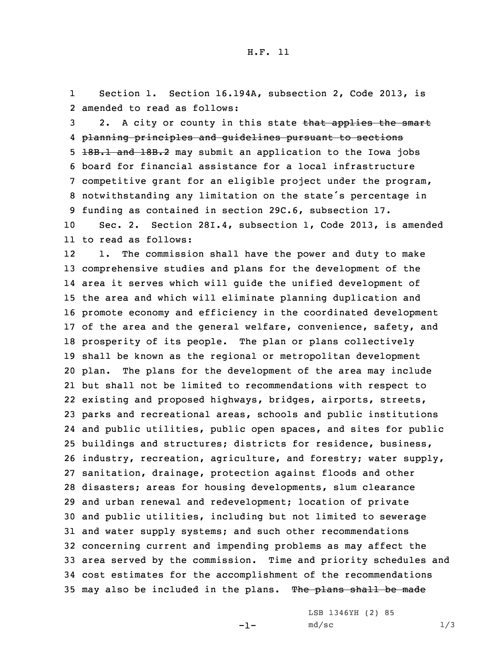1Section 1. Section 16.194A, subsection 2, Code 2013, is 2 amended to read as follows:

3 2. A city or county in this state that applies the smart planning principles and guidelines pursuant to sections 18B.1 and 18B.2 may submit an application to the Iowa jobs board for financial assistance for <sup>a</sup> local infrastructure competitive grant for an eligible project under the program, notwithstanding any limitation on the state's percentage in funding as contained in section 29C.6, subsection 17.

10 Sec. 2. Section 28I.4, subsection 1, Code 2013, is amended 11 to read as follows:

12 1. The commission shall have the power and duty to make comprehensive studies and plans for the development of the area it serves which will guide the unified development of the area and which will eliminate planning duplication and promote economy and efficiency in the coordinated development of the area and the general welfare, convenience, safety, and prosperity of its people. The plan or plans collectively shall be known as the regional or metropolitan development plan. The plans for the development of the area may include but shall not be limited to recommendations with respect to existing and proposed highways, bridges, airports, streets, parks and recreational areas, schools and public institutions and public utilities, public open spaces, and sites for public buildings and structures; districts for residence, business, industry, recreation, agriculture, and forestry; water supply, sanitation, drainage, protection against floods and other disasters; areas for housing developments, slum clearance and urban renewal and redevelopment; location of private and public utilities, including but not limited to sewerage and water supply systems; and such other recommendations concerning current and impending problems as may affect the area served by the commission. Time and priority schedules and cost estimates for the accomplishment of the recommendations 35 may also be included in the plans. The plans shall be made

-1-

LSB 1346YH (2) 85  $md/sec$  1/3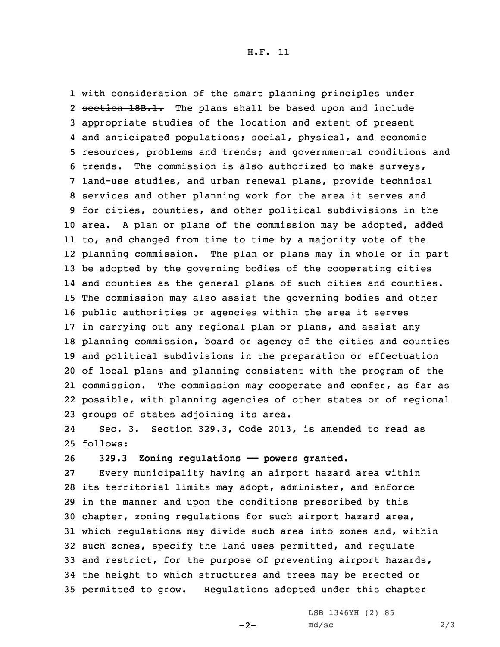## H.F. 11

 with consideration of the smart planning principles under 2 section 18B.1. The plans shall be based upon and include appropriate studies of the location and extent of present and anticipated populations; social, physical, and economic resources, problems and trends; and governmental conditions and trends. The commission is also authorized to make surveys, land-use studies, and urban renewal plans, provide technical services and other planning work for the area it serves and for cities, counties, and other political subdivisions in the area. <sup>A</sup> plan or plans of the commission may be adopted, added to, and changed from time to time by <sup>a</sup> majority vote of the planning commission. The plan or plans may in whole or in part be adopted by the governing bodies of the cooperating cities and counties as the general plans of such cities and counties. The commission may also assist the governing bodies and other public authorities or agencies within the area it serves in carrying out any regional plan or plans, and assist any planning commission, board or agency of the cities and counties and political subdivisions in the preparation or effectuation of local plans and planning consistent with the program of the commission. The commission may cooperate and confer, as far as possible, with planning agencies of other states or of regional groups of states adjoining its area.

24 Sec. 3. Section 329.3, Code 2013, is amended to read as 25 follows:

26 **329.3 Zoning regulations —— powers granted.**

 Every municipality having an airport hazard area within its territorial limits may adopt, administer, and enforce in the manner and upon the conditions prescribed by this chapter, zoning regulations for such airport hazard area, which regulations may divide such area into zones and, within such zones, specify the land uses permitted, and regulate and restrict, for the purpose of preventing airport hazards, the height to which structures and trees may be erected or 35 permitted to grow. Requiations adopted under this chapter

 $-2-$ 

LSB 1346YH (2) 85  $md/sec$  2/3